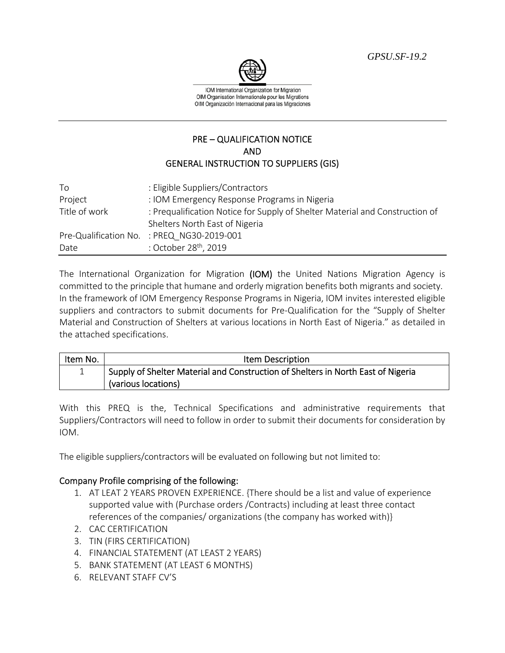*GPSU.SF-19.2* 



IOM International Organization for Migration OIM Organisation Internationale pour les Migrations OIM Organización Internacional para las Migraciones

## PRE – QUALIFICATION NOTICE AND GENERAL INSTRUCTION TO SUPPLIERS (GIS)

| To            | : Eligible Suppliers/Contractors                                             |
|---------------|------------------------------------------------------------------------------|
| Project       | : IOM Emergency Response Programs in Nigeria                                 |
| Title of work | : Prequalification Notice for Supply of Shelter Material and Construction of |
|               | Shelters North East of Nigeria                                               |
|               | Pre-Qualification No. : PREQ NG30-2019-001                                   |
| Date          | : October 28 <sup>th</sup> , 2019                                            |

The International Organization for Migration (IOM) the United Nations Migration Agency is committed to the principle that humane and orderly migration benefits both migrants and society. In the framework of IOM Emergency Response Programs in Nigeria, IOM invites interested eligible suppliers and contractors to submit documents for Pre-Qualification for the "Supply of Shelter Material and Construction of Shelters at various locations in North East of Nigeria." as detailed in the attached specifications.

| Item No. | Item Description                                                                 |
|----------|----------------------------------------------------------------------------------|
|          | Supply of Shelter Material and Construction of Shelters in North East of Nigeria |
|          | (various locations)                                                              |

With this PREQ is the, Technical Specifications and administrative requirements that Suppliers/Contractors will need to follow in order to submit their documents for consideration by IOM.

The eligible suppliers/contractors will be evaluated on following but not limited to:

## Company Profile comprising of the following:

- 1. AT LEAT 2 YEARS PROVEN EXPERIENCE. {There should be a list and value of experience supported value with (Purchase orders /Contracts) including at least three contact references of the companies/ organizations (the company has worked with)}
- 2. CAC CERTIFICATION
- 3. TIN (FIRS CERTIFICATION)
- 4. FINANCIAL STATEMENT (AT LEAST 2 YEARS)
- 5. BANK STATEMENT (AT LEAST 6 MONTHS)
- 6. RELEVANT STAFF CV'S